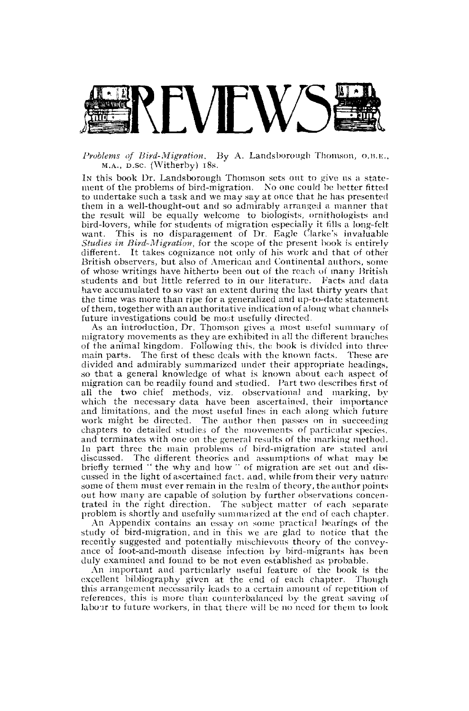

## Problems of Bird-Migration, By A. Landsborough Thomson, o.B.E., M.A., D.SC. (Witherby) 18s.

IN this book Dr. Landsborough Thomson sets out to give us a statement of the problems of bird-migration. No one could be better fitted to undertake such a task and we may say at once that he has presented them in a well-thought-out and so admirably arranged a manner that the result will be equally welcome to biologists, ornithologists and bird-lovers, while for students of migration especially it tills a long-felt, want. This is no disparagement of Dr. Eagle Clarke's invaluable *Studies in Bird-Migration*, for the scope of the present hook is entirely different. It takes cognizance not only of his work and that of other British observers, but also of American and Continental authors, some of whose writings have hitherto been out of the reach of many British students and but little referred to in our literature. Facts and data have accumulated to so vast an extent during the last thirty years that the time was more than ripe for a generalized and up-to-date statement of them, together with an authoritative indication of along what channels future investigations could be most usefully directed.

As an introduction. Dr. Thomson gives a most useful summary of migratory movements as they are exhibited in all the different branches of the animal kingdom. Following this, the book is divided into three main parts. The first of these deals with the known facts. These are divided and admirably summarized under their appropriate headings, so that a general knowledge of what is known about each aspect of migration can be readily found and studied. Part two describes first of all the two chief methods, viz. observational and marking, by which the necessary data have been ascertained, their importance and limitations, and the most useful lines in each along which future work might be directed. The author then passes on in succeeding chapters to detailed studies of the movements of particular species, and terminates with one on the general results of the marking method. In part three the main problems of bird-migration are stated and discussed. The different theories and assumptions of what may be briefly termed " the why and how " of migration are set out and discussed in the light of ascertained fact, and, while from their very nature some of them must ever remain in the realm of theory, the author points out how many are capable of solution by further observations concentrated in the right direction. The subject matter of each separate problem is shortly and usefully summarized at the end of each chapter.

An Appendix contains an essay on some practical bearings of the study of bird-migration, and in this we are glad to notice that the recently suggested and potentially mischievous theory of the conveyance of foot-and-mouth disease infection by bird-migrants has been duly examined and found to be not even established as probable.

An important and particularly useful feature of the book is the excellent bibliography given at the end of each chapter. Though this arrangement necessarily leads to a certain amount of repetition of references, this is more than counterbalanced by the great saving of labour to future workers, in that there will be no need for them to look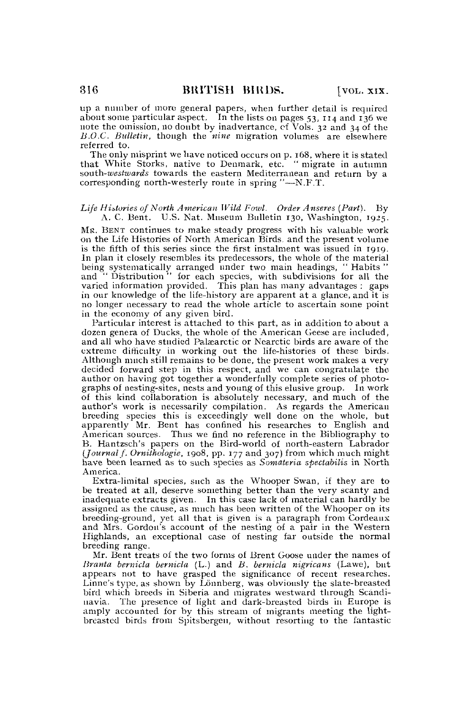up a number of more general papers, when further detail is required about some particular aspect. In the lists on pages  $53$ ,  $114$  and  $136$  we note the omission, no doubt by inadvertance,  $cf$  Vols. 32 and 34 of the *B.O.C. Bulletin,* though the *nine* migration volumes are elsewhere referred to.

The only misprint we have noticed occurs on p. 168, where it is stated that White Storks, native to Denmark, etc. " migrate in autumn *south-westwards* towards the eastern Mediterranean and return by a corresponding north-westerly route in spring "—N.F.T.

## *Life Histories of North American Wild Bowl. Order Anseres (Part).* By A. C. Bent. U.S. Nat. Museum Bulletin 130, Washington, 1925.

MR. BENT continues to make steady progress with his valuable work on the Life Histories of North American Birds, and the present volume is the fifth of this series since the first instalment was issued in 1919. In plan it closely resembles its predecessors, the whole of the material being systematically arranged under two main headings, "Habits' and "Distribution" for each species, with subdivisions for all the varied information provided. This plan has many advantages : gaps in our knowledge of the life-history are apparent at a glance, and it is no longer necessary to read the whole article to ascertain some point in the economy of any given bird.

Particular interest is attached to this part, as in addition to about a dozen genera of Ducks, the whole of the American Geese are included, and all who have studied Palæarctic or Nearctic birds are aware of the extreme difficulty in working out the life-histories of these birds. Although much still remains to be done, the present work makes a very decided forward step in this respect, and we can congratulate the author on having got together a wonderfully complete series of photographs of nesting-sites, nests and young of this elusive group. In work of this kind collaboration is absolutely necessary, and much of the author's work is necessarily compilation. As regards the American breeding species this is exceedingly well done on the whole, but apparently Mr. Bent has confined his researches to English and American sources. Thus we find no reference in the Bibliography to B. Hantzsch's papers on the Bird-world of north-eastern Labrador *(Journal f. Omithologie,* 1908, pp. 177 and 307) from which much might have been learned as to such species as *Somateria spectabilis* in North America.

Extra-limital species, such as the Whooper Swan, if they are to be treated at all, deserve something better than the very scanty and inadequate extracts given. In this case lack of material can hardly be assigned as the cause, as much has been written of the Whooper on its breeding-ground, yet all that is given is a paragraph from Cordeaux and Mrs. Gordon's account of the nesting of a pair in the Western Highlands, an exceptional case of nesting far outside the normal breeding range.

Mr. Bent treats of the two forms of Brent Goose under the names of *Branta bernicla bernicla* (L.) and *B. bernicla nigricans* (Lawe), but appears not to have grasped the significance of recent researches. Linne's type, as shown by Lönnberg, was obviously the slate-breasted bird which breeds in Siberia and migrates westward through Scandinavia. The presence of light and dark-breasted birds in Europe is amply accounted for by this stream of migrants meeting the lightbreasted birds from Spitsbergen, without resorting to the fantastic